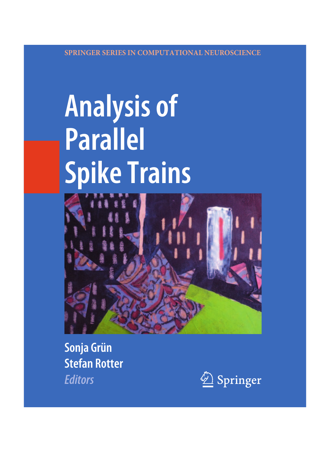**SPRINGER SERIES IN COMPUTATIONAL NEUROSCIENCE**

# **Analysis of Parallel Spike Trains**



**Sonja Grün Stefan Rotter Editors**

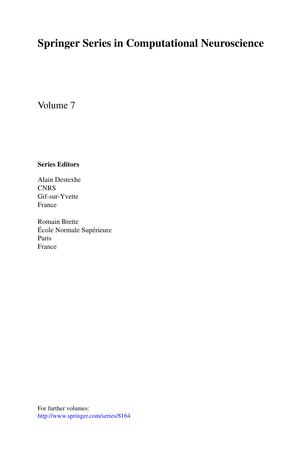# **Springer Series in Computational Neuroscience**

## Volume 7

**Series Editors**

Alain Destexhe **CNRS** Gif-sur-Yvette France

Romain Brette École Normale Supérieure Paris France

For further volumes: <http://www.springer.com/series/8164>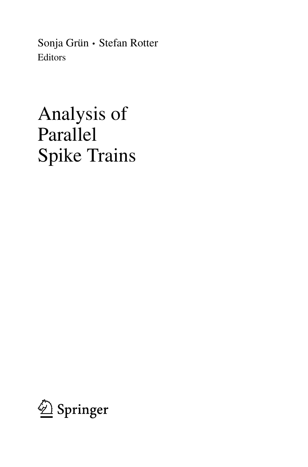Sonja Grün · Stefan Rotter Editors

# Analysis of Parallel Spike Trains

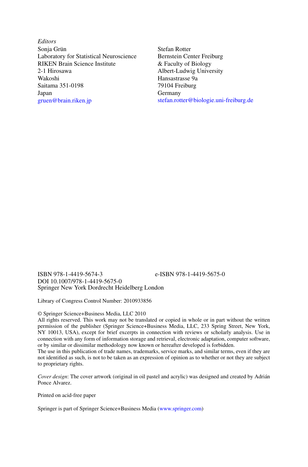*Editors* Sonja Grün Laboratory for Statistical Neuroscience RIKEN Brain Science Institute 2-1 Hirosawa Wakoshi Saitama 351-0198 Japan [gruen@brain.riken.jp](mailto:gruen@brain.riken.jp)

Stefan Rotter Bernstein Center Freiburg & Faculty of Biology Albert-Ludwig University Hansastrasse 9a 79104 Freiburg Germany [stefan.rotter@biologie.uni-freiburg.de](mailto:stefan.rotter@biologie.uni-freiburg.de)

ISBN 978-1-4419-5674-3 e-ISBN 978-1-4419-5675-0 DOI 10.1007/978-1-4419-5675-0 Springer New York Dordrecht Heidelberg London

Library of Congress Control Number: 2010933856

#### © Springer Science+Business Media, LLC 2010

All rights reserved. This work may not be translated or copied in whole or in part without the written permission of the publisher (Springer Science+Business Media, LLC, 233 Spring Street, New York, NY 10013, USA), except for brief excerpts in connection with reviews or scholarly analysis. Use in connection with any form of information storage and retrieval, electronic adaptation, computer software, or by similar or dissimilar methodology now known or hereafter developed is forbidden.

The use in this publication of trade names, trademarks, service marks, and similar terms, even if they are not identified as such, is not to be taken as an expression of opinion as to whether or not they are subject to proprietary rights.

*Cover design*: The cover artwork (original in oil pastel and acrylic) was designed and created by Adrián Ponce Alvarez.

Printed on acid-free paper

Springer is part of Springer Science+Business Media ([www.springer.com\)](http://www.springer.com)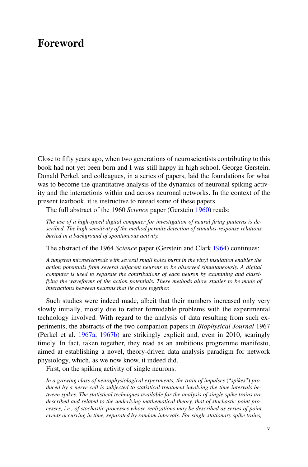### **Foreword**

Close to fifty years ago, when two generations of neuroscientists contributing to this book had not yet been born and I was still happy in high school, George Gerstein, Donald Perkel, and colleagues, in a series of papers, laid the foundations for what was to become the quantitative analysis of the dynamics of neuronal spiking activity and the interactions within and across neuronal networks. In the context of the present textbook, it is instructive to reread some of these papers.

The full abstract of the 1960 *Science* paper (Gerstein [1960](#page-7-0)) reads:

*The use of a high-speed digital computer for investigation of neural firing patterns is described. The high sensitivity of the method permits detection of stimulus-response relations buried in a background of spontaneous activity.*

The abstract of the 1964 *Science* paper (Gerstein and Clark [1964\)](#page-7-1) continues:

*A tungsten microelectrode with several small holes burnt in the vinyl insulation enables the action potentials from several adjacent neurons to be observed simultaneously. A digital computer is used to separate the contributions of each neuron by examining and classifying the waveforms of the action potentials. These methods allow studies to be made of interactions between neurons that lie close together.*

Such studies were indeed made, albeit that their numbers increased only very slowly initially, mostly due to rather formidable problems with the experimental technology involved. With regard to the analysis of data resulting from such experiments, the abstracts of the two companion papers in *Biophysical Journal* 1967 (Perkel et al. [1967a,](#page-7-2) [1967b](#page-7-3)) are strikingly explicit and, even in 2010, scaringly timely. In fact, taken together, they read as an ambitious programme manifesto, aimed at establishing a novel, theory-driven data analysis paradigm for network physiology, which, as we now know, it indeed did.

First, on the spiking activity of single neurons:

*In a growing class of neurophysiological experiments, the train of impulses* ("*spikes*") *produced by a nerve cell is subjected to statistical treatment involving the time intervals between spikes. The statistical techniques available for the analysis of single spike trains are described and related to the underlying mathematical theory, that of stochastic point processes, i.e., of stochastic processes whose realizations may be described as series of point events occurring in time, separated by random intervals. For single stationary spike trains,*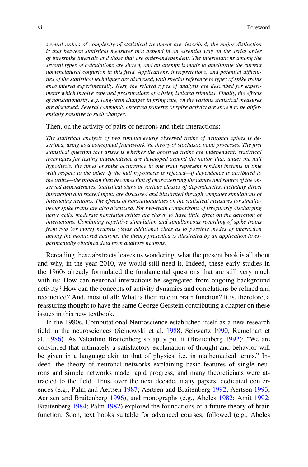*several orders of complexity of statistical treatment are described; the major distinction is that between statistical measures that depend in an essential way on the serial order of interspike intervals and those that are order-independent. The interrelations among the several types of calculations are shown, and an attempt is made to ameliorate the current nomenclatural confusion in this field. Applications, interpretations, and potential difficulties of the statistical techniques are discussed, with special reference to types of spike trains encountered experimentally. Next, the related types of analysis are described for experiments which involve repeated presentations of a brief, isolated stimulus. Finally, the effects of nonstationarity, e.g. long-term changes in firing rate, on the various statistical measures are discussed. Several commonly observed patterns of spike activity are shown to be differentially sensitive to such changes.*

#### Then, on the activity of pairs of neurons and their interactions:

*The statistical analysis of two simultaneously observed trains of neuronal spikes is described, using as a conceptual framework the theory of stochastic point processes. The first statistical question that arises is whether the observed trains are independent; statistical techniques for testing independence are developed around the notion that, under the null hypothesis, the times of spike occurrence in one train represent random instants in time with respect to the other. If the null hypothesis is rejected—if dependence is attributed to the trains—the problem then becomes that of characterizing the nature and source of the observed dependencies. Statistical signs of various classes of dependencies, including direct interaction and shared input, are discussed and illustrated through computer simulations of interacting neurons. The effects of nonstationarities on the statistical measures for simultaneous spike trains are also discussed. For two-train comparisons of irregularly discharging nerve cells, moderate nonstationarities are shown to have little effect on the detection of interactions. Combining repetitive stimulation and simultaneous recording of spike trains from two* (*or more*) *neurons yields additional clues as to possible modes of interaction among the monitored neurons; the theory presented is illustrated by an application to experimentally obtained data from auditory neurons.*

Rereading these abstracts leaves us wondering, what the present book is all about and why, in the year 2010, we would still need it. Indeed, these early studies in the 1960s already formulated the fundamental questions that are still very much with us: How can neuronal interactions be segregated from ongoing background activity? How can the concepts of activity dynamics and correlations be refined and reconciled? And, most of all: What is their role in brain function? It is, therefore, a reassuring thought to have the same George Gerstein contributing a chapter on these issues in this new textbook.

In the 1980s, Computational Neuroscience established itself as a new research field in the neurosciences (Sejnowski et al. [1988](#page-7-4); Schwartz [1990](#page-7-5); Rumelhart et al. [1986](#page-7-6)). As Valentino Braitenberg so aptly put it (Braitenberg [1992\)](#page-7-7): "We are convinced that ultimately a satisfactory explanation of thought and behavior will be given in a language akin to that of physics, i.e. in mathematical terms." Indeed, the theory of neuronal networks explaining basic features of single neurons and simple networks made rapid progress, and many theoreticians were attracted to the field. Thus, over the next decade, many papers, dedicated conferences (e.g., Palm and Aertsen [1987](#page-7-8); Aertsen and Braitenberg [1992](#page-7-9); Aertsen [1993;](#page-7-10) Aertsen and Braitenberg [1996\)](#page-7-11), and monographs (e.g., Abeles [1982](#page-7-12); Amit [1992;](#page-7-13) Braitenberg [1984](#page-7-14); Palm [1982](#page-7-15)) explored the foundations of a future theory of brain function. Soon, text books suitable for advanced courses, followed (e.g., Abeles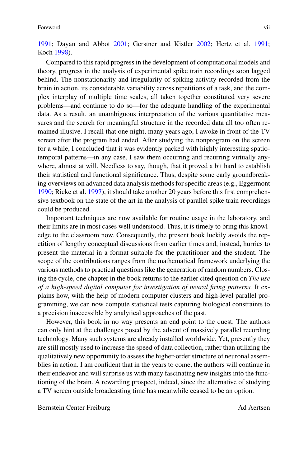[1991;](#page-7-16) Dayan and Abbot [2001;](#page-7-17) Gerstner and Kistler [2002;](#page-7-18) Hertz et al. [1991;](#page-7-19) Koch [1998](#page-7-20)).

Compared to this rapid progress in the development of computational models and theory, progress in the analysis of experimental spike train recordings soon lagged behind. The nonstationarity and irregularity of spiking activity recorded from the brain in action, its considerable variability across repetitions of a task, and the complex interplay of multiple time scales, all taken together constituted very severe problems—and continue to do so—for the adequate handling of the experimental data. As a result, an unambiguous interpretation of the various quantitative measures and the search for meaningful structure in the recorded data all too often remained illusive. I recall that one night, many years ago, I awoke in front of the TV screen after the program had ended. After studying the nonprogram on the screen for a while, I concluded that it was evidently packed with highly interesting spatiotemporal patterns—in any case, I saw them occurring and recurring virtually anywhere, almost at will. Needless to say, though, that it proved a bit hard to establish their statistical and functional significance. Thus, despite some early groundbreaking overviews on advanced data analysis methods for specific areas (e.g., Eggermont [1990;](#page-7-21) Rieke et al. [1997](#page-7-22)), it should take another 20 years before this first comprehensive textbook on the state of the art in the analysis of parallel spike train recordings could be produced.

Important techniques are now available for routine usage in the laboratory, and their limits are in most cases well understood. Thus, it is timely to bring this knowledge to the classroom now. Consequently, the present book luckily avoids the repetition of lengthy conceptual discussions from earlier times and, instead, hurries to present the material in a format suitable for the practitioner and the student. The scope of the contributions ranges from the mathematical framework underlying the various methods to practical questions like the generation of random numbers. Closing the cycle, one chapter in the book returns to the earlier cited question on *The use of a high-speed digital computer for investigation of neural firing patterns.* It explains how, with the help of modern computer clusters and high-level parallel programming, we can now compute statistical tests capturing biological constraints to a precision inaccessible by analytical approaches of the past.

However, this book in no way presents an end point to the quest. The authors can only hint at the challenges posed by the advent of massively parallel recording technology. Many such systems are already installed worldwide. Yet, presently they are still mostly used to increase the speed of data collection, rather than utilizing the qualitatively new opportunity to assess the higher-order structure of neuronal assemblies in action. I am confident that in the years to come, the authors will continue in their endeavor and will surprise us with many fascinating new insights into the functioning of the brain. A rewarding prospect, indeed, since the alternative of studying a TV screen outside broadcasting time has meanwhile ceased to be an option.

Bernstein Center Freiburg and Aertsen Ad Aertsen